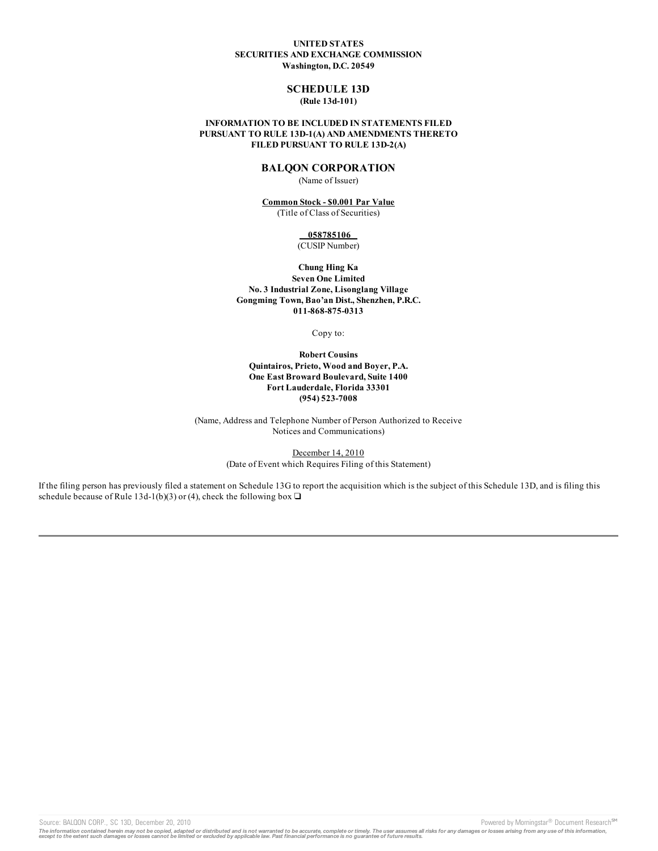## **UNITED STATES SECURITIES AND EXCHANGE COMMISSION Washington, D.C. 20549**

# **SCHEDULE 13D (Rule 13d-101)**

## **INFORMATION TO BE INCLUDED IN STATEMENTS FILED PURSUANT TO RULE 13D-1(A) AND AMENDMENTS THERETO FILED PURSUANT TO RULE 13D-2(A)**

# **BALQON CORPORATION**

(Name of Issuer)

## **Common Stock - \$0.001 Par Value** (Title of Class of Securities)

**058785106**

(CUSIP Number)

**Chung Hing Ka Seven One Limited No. 3 Industrial Zone, Lisonglang Village Gongming Town, Bao'an Dist., Shenzhen, P.R.C. 011-868-875-0313**

Copy to:

**Robert Cousins Quintairos, Prieto, Wood and Boyer, P.A. One East Broward Boulevard, Suite 1400 Fort Lauderdale, Florida 33301 (954) 523-7008**

(Name, Address and Telephone Number of Person Authorized to Receive Notices and Communications)

> December 14, 2010 (Date of Event which Requires Filing of this Statement)

If the filing person has previously filed a statement on Schedule 13G to report the acquisition which is the subject of this Schedule 13D, and is filing this schedule because of Rule 13d-1(b)(3) or (4), check the following box  $\Box$ 

Source: BALQON CORP., SC 13D, December 20, 2010 **Powered by Morningstar® Document Research** <sup>sm</sup>

The information contained herein may not be copied, adapted or distributed and is not warranted to be accurate, complete or timely. The user assumes all risks for any damages or losses arising from any use of this informat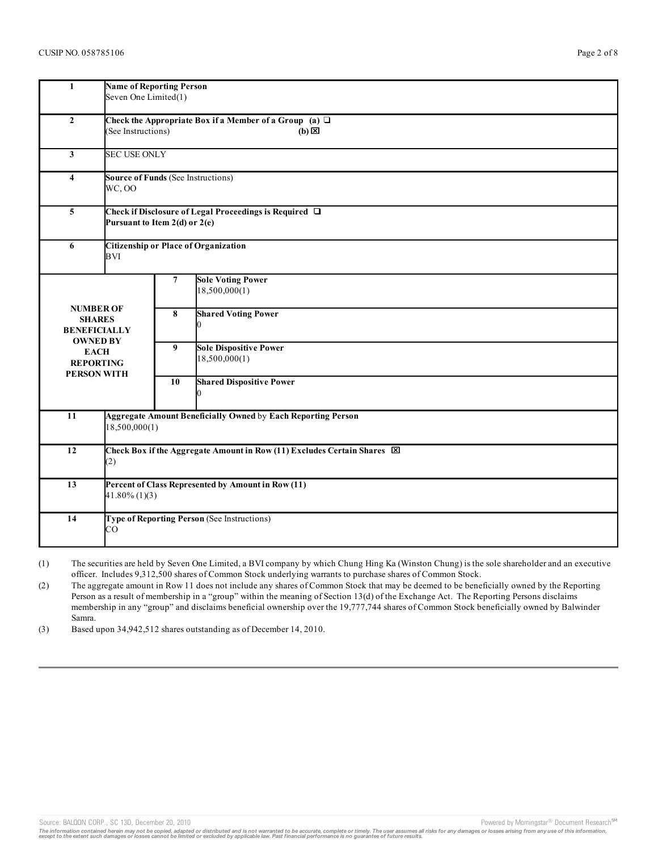| $\mathbf{1}$                                                                                                                         | <b>Name of Reporting Person</b><br>Seven One Limited(1)                                              |                     |                                                |  |  |  |  |
|--------------------------------------------------------------------------------------------------------------------------------------|------------------------------------------------------------------------------------------------------|---------------------|------------------------------------------------|--|--|--|--|
| $\overline{2}$                                                                                                                       | Check the Appropriate Box if a Member of a Group (a) $\Box$<br>(See Instructions)<br>$(b) \boxtimes$ |                     |                                                |  |  |  |  |
| $\mathbf{3}$                                                                                                                         |                                                                                                      | <b>SEC USE ONLY</b> |                                                |  |  |  |  |
| $\overline{\mathbf{4}}$                                                                                                              | <b>Source of Funds (See Instructions)</b><br>WC, OO                                                  |                     |                                                |  |  |  |  |
| 5                                                                                                                                    | Check if Disclosure of Legal Proceedings is Required $\Box$<br>Pursuant to Item 2(d) or 2(e)         |                     |                                                |  |  |  |  |
| 6                                                                                                                                    | <b>Citizenship or Place of Organization</b><br>BVI                                                   |                     |                                                |  |  |  |  |
| <b>NUMBER OF</b><br><b>SHARES</b><br><b>BENEFICIALLY</b><br><b>OWNED BY</b><br><b>EACH</b><br><b>REPORTING</b><br><b>PERSON WITH</b> |                                                                                                      | $\overline{7}$      | <b>Sole Voting Power</b><br>18,500,000(1)      |  |  |  |  |
|                                                                                                                                      |                                                                                                      | 8                   | <b>Shared Voting Power</b>                     |  |  |  |  |
|                                                                                                                                      |                                                                                                      | 9                   | <b>Sole Dispositive Power</b><br>18,500,000(1) |  |  |  |  |
|                                                                                                                                      |                                                                                                      | 10                  | <b>Shared Dispositive Power</b><br>0           |  |  |  |  |
| 11                                                                                                                                   | <b>Aggregate Amount Beneficially Owned by Each Reporting Person</b><br>18,500,000(1)                 |                     |                                                |  |  |  |  |
| 12                                                                                                                                   | Check Box if the Aggregate Amount in Row (11) Excludes Certain Shares [X]<br>(2)                     |                     |                                                |  |  |  |  |
| 13                                                                                                                                   | Percent of Class Represented by Amount in Row (11)<br>$41.80\%$ (1)(3)                               |                     |                                                |  |  |  |  |
| 14                                                                                                                                   | Type of Reporting Person (See Instructions)<br>CO                                                    |                     |                                                |  |  |  |  |
|                                                                                                                                      |                                                                                                      |                     |                                                |  |  |  |  |

(1) The securities are held by Seven One Limited, a BVI company by which Chung Hing Ka (Winston Chung) is the sole shareholder and an executive officer. Includes 9,312,500 shares of Common Stock underlying warrants to purchase shares of Common Stock.

(2) The aggregate amount in Row 11 does not include any shares of Common Stock that may be deemed to be beneficially owned by the Reporting Person as a result of membership in a "group" within the meaning of Section 13(d) of the Exchange Act. The Reporting Persons disclaims membership in any "group" and disclaims beneficial ownership over the 19,777,744 shares of Common Stock beneficially owned by Balwinder Samra.

(3) Based upon 34,942,512 shares outstanding as of December 14, 2010.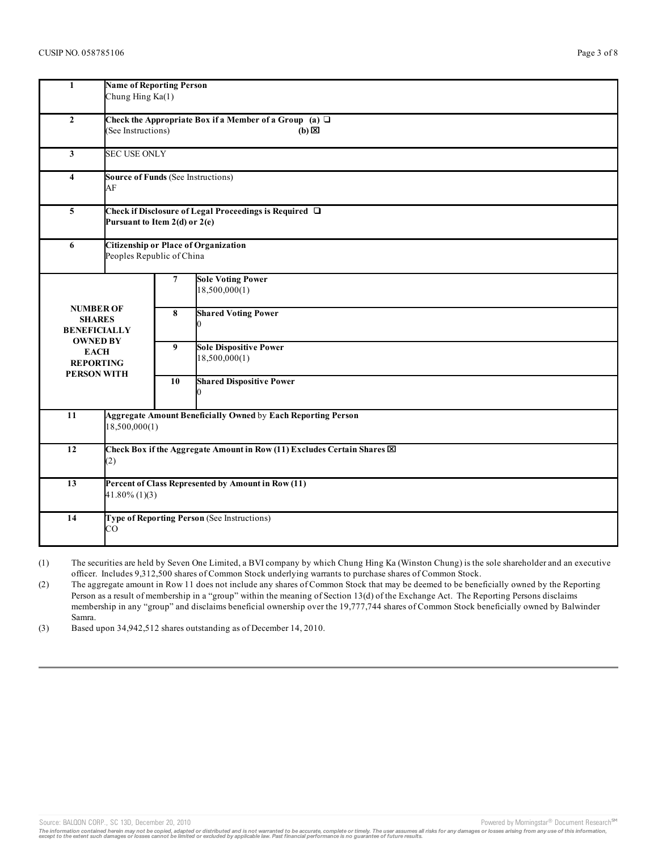| $\mathbf{1}$                                                             | <b>Name of Reporting Person</b><br>Chung Hing Ka(1)                                                    |                     |                                                |  |  |  |  |  |
|--------------------------------------------------------------------------|--------------------------------------------------------------------------------------------------------|---------------------|------------------------------------------------|--|--|--|--|--|
| $\overline{2}$                                                           | Check the Appropriate Box if a Member of a Group (a) $\Box$<br>(See Instructions)<br>$(b)$ $\boxtimes$ |                     |                                                |  |  |  |  |  |
| $\mathbf{3}$                                                             |                                                                                                        | <b>SEC USE ONLY</b> |                                                |  |  |  |  |  |
| $\overline{\mathbf{4}}$                                                  | <b>Source of Funds (See Instructions)</b><br>AF                                                        |                     |                                                |  |  |  |  |  |
| $\overline{\mathbf{5}}$                                                  | Check if Disclosure of Legal Proceedings is Required □<br>Pursuant to Item 2(d) or 2(e)                |                     |                                                |  |  |  |  |  |
| 6                                                                        | <b>Citizenship or Place of Organization</b><br>Peoples Republic of China                               |                     |                                                |  |  |  |  |  |
| <b>NUMBER OF</b>                                                         |                                                                                                        | 7                   | <b>Sole Voting Power</b><br>18,500,000(1)      |  |  |  |  |  |
| <b>SHARES</b><br><b>BENEFICIALLY</b>                                     |                                                                                                        | 8                   | <b>Shared Voting Power</b>                     |  |  |  |  |  |
| <b>OWNED BY</b><br><b>EACH</b><br><b>REPORTING</b><br><b>PERSON WITH</b> |                                                                                                        | 9                   | <b>Sole Dispositive Power</b><br>18,500,000(1) |  |  |  |  |  |
|                                                                          |                                                                                                        | 10                  | <b>Shared Dispositive Power</b><br>0           |  |  |  |  |  |
| 11                                                                       | <b>Aggregate Amount Beneficially Owned by Each Reporting Person</b><br>18,500,000(1)                   |                     |                                                |  |  |  |  |  |
| 12                                                                       | Check Box if the Aggregate Amount in Row (11) Excludes Certain Shares [X]<br>(2)                       |                     |                                                |  |  |  |  |  |
| 13                                                                       | Percent of Class Represented by Amount in Row (11)<br>$41.80\%$ (1)(3)                                 |                     |                                                |  |  |  |  |  |
| 14                                                                       | Type of Reporting Person (See Instructions)<br>CO                                                      |                     |                                                |  |  |  |  |  |
|                                                                          |                                                                                                        |                     |                                                |  |  |  |  |  |

(1) The securities are held by Seven One Limited, a BVI company by which Chung Hing Ka (Winston Chung) is the sole shareholder and an executive officer. Includes 9,312,500 shares of Common Stock underlying warrants to purchase shares of Common Stock.

(2) The aggregate amount in Row 11 does not include any shares of Common Stock that may be deemed to be beneficially owned by the Reporting Person as a result of membership in a "group" within the meaning of Section 13(d) of the Exchange Act. The Reporting Persons disclaims membership in any "group" and disclaims beneficial ownership over the 19,777,744 shares of Common Stock beneficially owned by Balwinder Samra.

(3) Based upon 34,942,512 shares outstanding as of December 14, 2010.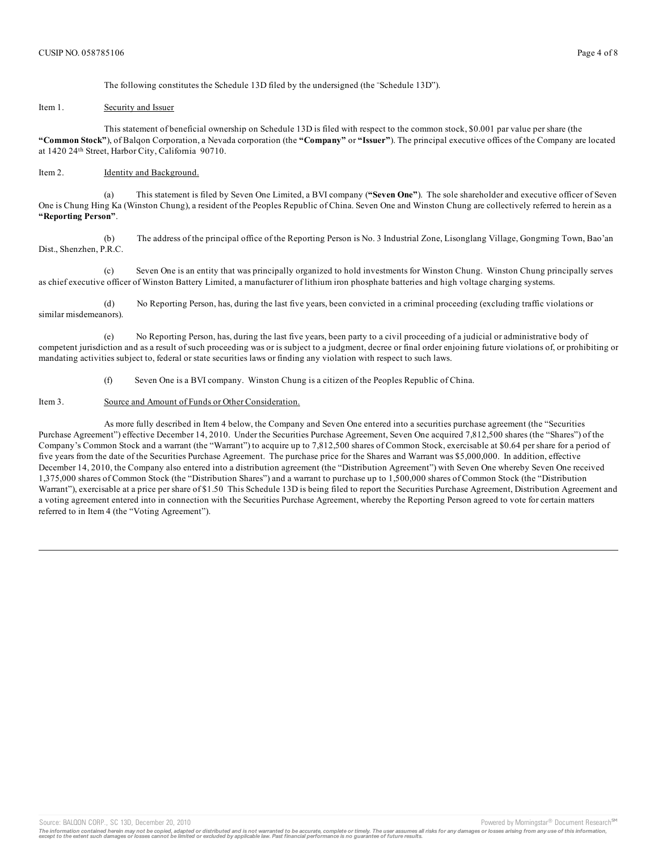The following constitutes the Schedule 13D filed by the undersigned (the "Schedule 13D").

#### Item 1. Security and Issuer

This statement of beneficial ownership on Schedule 13D is filed with respect to the common stock, \$0.001 par value per share (the **"Common Stock"**), of Balqon Corporation, a Nevada corporation (the **"Company"** or **"Issuer"**). The principal executive offices of the Company are located at 1420 24th Street, Harbor City, California 90710.

### Item 2. **Identity and Background.**

(a) This statement is filed by Seven One Limited, a BVI company (**"Seven One"**). The sole shareholder and executive officer of Seven One is Chung Hing Ka (Winston Chung), a resident of the Peoples Republic of China. Seven One and Winston Chung are collectively referred to herein as a **"Reporting Person"**.

(b) The address of the principal office of the Reporting Person is No. 3 Industrial Zone, Lisonglang Village, Gongming Town, Bao'an Dist., Shenzhen, P.R.C.

(c) Seven One is an entity that was principally organized to hold investments for Winston Chung. Winston Chung principally serves as chief executive officer of Winston Battery Limited, a manufacturer of lithium iron phosphate batteries and high voltage charging systems.

(d) No Reporting Person, has, during the last five years, been convicted in a criminal proceeding (excluding traffic violations or similar misdemeanors).

(e) No Reporting Person, has, during the last five years, been party to a civil proceeding of a judicial or administrative body of competent jurisdiction and as a result of such proceeding was or is subject to a judgment, decree or final order enjoining future violations of, or prohibiting or mandating activities subject to, federal or state securities laws or finding any violation with respect to such laws.

(f) Seven One is a BVI company. Winston Chung is a citizen of the Peoples Republic of China.

#### Item 3. Source and Amount of Funds or Other Consideration.

As more fully described in Item 4 below, the Company and Seven One entered into a securities purchase agreement (the "Securities Purchase Agreement") effective December 14, 2010. Under the Securities Purchase Agreement, Seven One acquired 7,812,500 shares (the "Shares") of the Company's Common Stock and a warrant (the "Warrant") to acquire up to 7,812,500 shares of Common Stock, exercisable at \$0.64 per share for a period of five years from the date of the Securities Purchase Agreement. The purchase price for the Shares and Warrant was \$5,000,000. In addition, effective December 14, 2010, the Company also entered into a distribution agreement (the "Distribution Agreement") with Seven One whereby Seven One received 1,375,000 shares of Common Stock (the "Distribution Shares") and a warrant to purchase up to 1,500,000 shares of Common Stock (the "Distribution Warrant"), exercisable at a price per share of \$1.50 This Schedule 13D is being filed to report the Securities Purchase Agreement, Distribution Agreement and a voting agreement entered into in connection with the Securities Purchase Agreement, whereby the Reporting Person agreed to vote for certain matters referred to in Item 4 (the "Voting Agreement").

Source: BALQON CORP., SC 13D, December 20, 2010 Powered by Morningstar® Document Research Street by Morningstar® Document Research Street by Morningstar® Document Research Street by Morningstar® Document Research Street by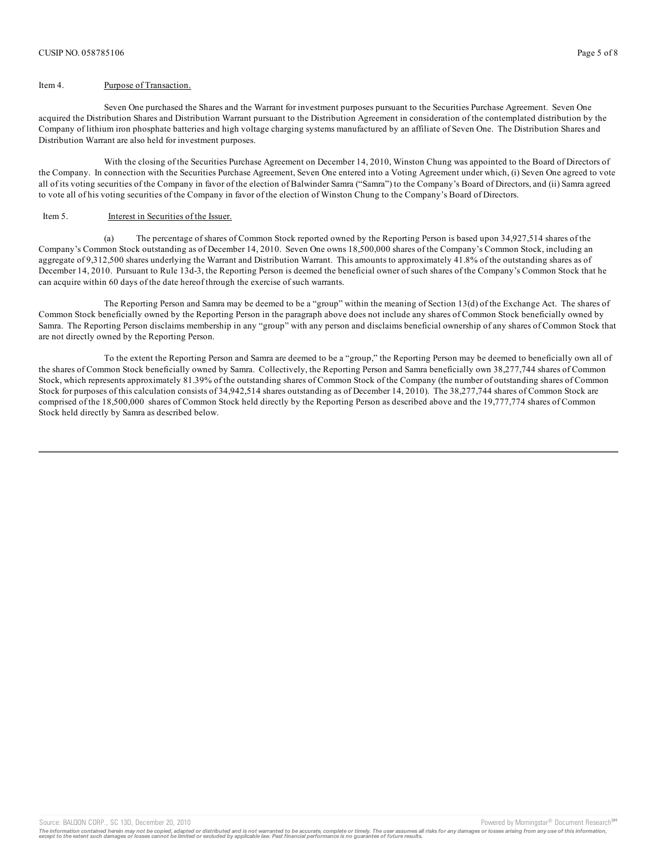## Item 4. Purpose of Transaction.

Seven One purchased the Shares and the Warrant for investment purposes pursuant to the Securities Purchase Agreement. Seven One acquired the Distribution Shares and Distribution Warrant pursuant to the Distribution Agreement in consideration of the contemplated distribution by the Company of lithium iron phosphate batteries and high voltage charging systems manufactured by an affiliate of Seven One. The Distribution Shares and Distribution Warrant are also held for investment purposes.

With the closing of the Securities Purchase Agreement on December 14, 2010, Winston Chung was appointed to the Board of Directors of the Company. In connection with the Securities Purchase Agreement, Seven One entered into a Voting Agreement under which, (i) Seven One agreed to vote all of its voting securities of the Company in favor of the election of Balwinder Samra ("Samra") to the Company's Board of Directors, and (ii) Samra agreed to vote all of his voting securities of the Company in favor of the election of Winston Chung to the Company's Board of Directors.

## Item 5. Interest in Securities of the Issuer.

(a) The percentage of shares of Common Stock reported owned by the Reporting Person is based upon 34,927,514 shares of the Company's Common Stock outstanding as of December 14, 2010. Seven One owns 18,500,000 shares of the Company's Common Stock, including an aggregate of 9,312,500 shares underlying the Warrant and Distribution Warrant. This amounts to approximately 41.8% of the outstanding shares as of December 14, 2010. Pursuant to Rule 13d-3, the Reporting Person is deemed the beneficial owner of such shares of the Company's Common Stock that he can acquire within 60 days of the date hereof through the exercise of such warrants.

The Reporting Person and Samra may be deemed to be a "group" within the meaning of Section 13(d) of the Exchange Act. The shares of Common Stock beneficially owned by the Reporting Person in the paragraph above does not include any shares of Common Stock beneficially owned by Samra. The Reporting Person disclaims membership in any "group" with any person and disclaims beneficial ownership of any shares of Common Stock that are not directly owned by the Reporting Person.

To the extent the Reporting Person and Samra are deemed to be a "group," the Reporting Person may be deemed to beneficially own all of the shares of Common Stock beneficially owned by Samra. Collectively, the Reporting Person and Samra beneficially own 38,277,744 shares of Common Stock, which represents approximately 81.39% of the outstanding shares of Common Stock of the Company (the number of outstanding shares of Common Stock for purposes of this calculation consists of 34,942,514 shares outstanding as of December 14, 2010). The 38,277,744 shares of Common Stock are comprised of the 18,500,000 shares of Common Stock held directly by the Reporting Person as described above and the 19,777,774 shares of Common Stock held directly by Samra as described below.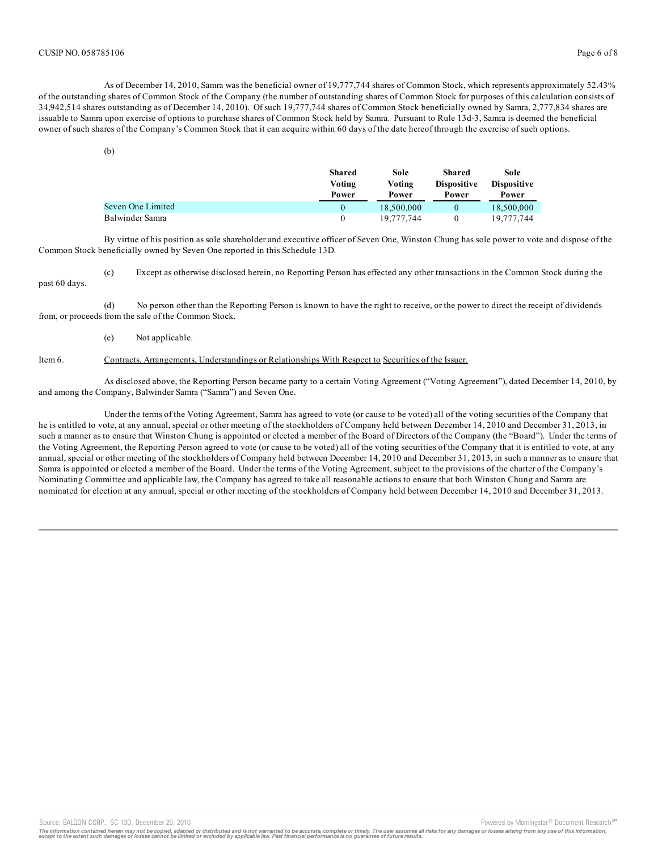As of December 14, 2010, Samra was the beneficial owner of 19,777,744 shares of Common Stock, which represents approximately 52.43% of the outstanding shares of Common Stock of the Company (the number of outstanding shares of Common Stock for purposes of this calculation consists of 34,942,514 shares outstanding as of December 14, 2010). Of such 19,777,744 shares of Common Stock beneficially owned by Samra, 2,777,834 shares are issuable to Samra upon exercise of options to purchase shares of Common Stock held by Samra. Pursuant to Rule 13d-3, Samra is deemed the beneficial owner of such shares of the Company's Common Stock that it can acquire within 60 days of the date hereof through the exercise of such options.

|                   | Shared<br>Voting<br>Power | Sole<br>Voting<br>Power | Shared<br><b>Dispositive</b><br>Power | Sole<br><b>Dispositive</b><br>Power |
|-------------------|---------------------------|-------------------------|---------------------------------------|-------------------------------------|
| Seven One Limited | $\theta$                  | 18,500,000              |                                       | 18,500,000                          |
| Balwinder Samra   | $\theta$                  | 19.777.744              |                                       | 19.777.744                          |

By virtue of his position as sole shareholder and executive officer of Seven One, Winston Chung has sole power to vote and dispose of the Common Stock beneficially owned by Seven One reported in this Schedule 13D.

(c) Except as otherwise disclosed herein, no Reporting Person has effected any other transactions in the Common Stock during the past 60 days.

(d) No person other than the Reporting Person is known to have the right to receive, or the power to direct the receipt of dividends from, or proceeds from the sale of the Common Stock.

(e) Not applicable.

## Item 6. Contracts, Arrangements, Understandings or Relationships With Respect to Securities of the Issuer.

As disclosed above, the Reporting Person became party to a certain Voting Agreement ("Voting Agreement"), dated December 14, 2010, by and among the Company, Balwinder Samra ("Samra") and Seven One.

Under the terms of the Voting Agreement, Samra has agreed to vote (or cause to be voted) all of the voting securities of the Company that he is entitled to vote, at any annual, special or other meeting of the stockholders of Company held between December 14, 2010 and December 31, 2013, in such a manner as to ensure that Winston Chung is appointed or elected a member of the Board of Directors of the Company (the "Board"). Under the terms of the Voting Agreement, the Reporting Person agreed to vote (or cause to be voted) all of the voting securities of the Company that it is entitled to vote, at any annual, special or other meeting of the stockholders of Company held between December 14, 2010 and December 31, 2013, in such a manner as to ensure that Samra is appointed or elected a member of the Board. Under the terms of the Voting Agreement, subject to the provisions of the charter of the Company's Nominating Committee and applicable law, the Company has agreed to take all reasonable actions to ensure that both Winston Chung and Samra are nominated for election at any annual, special or other meeting of the stockholders of Company held between December 14, 2010 and December 31, 2013.

Source: BALQON CORP., SC 13D, December 20, 2010 **Provide a set of the second by Account Account Account Research** <sup>as</sup>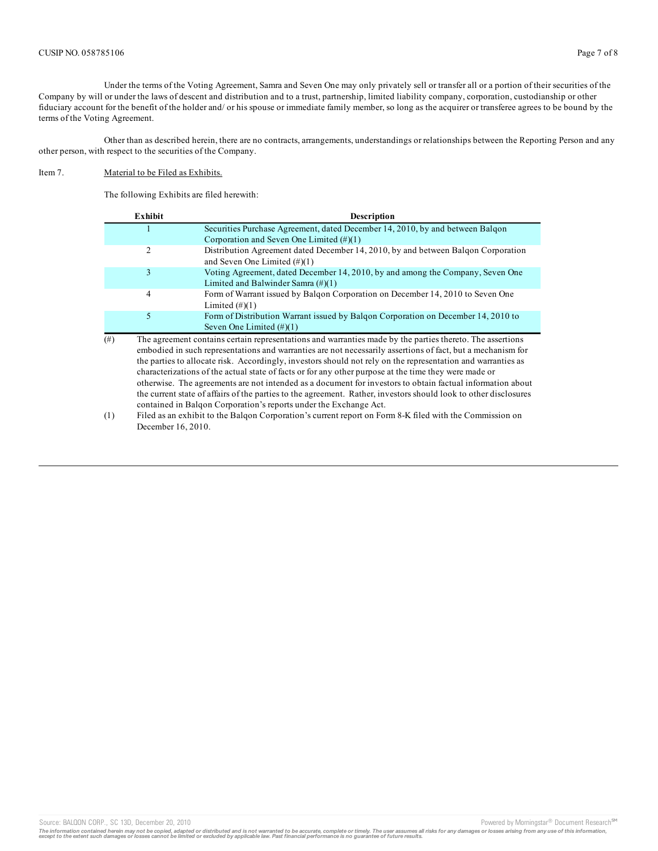Under the terms of the Voting Agreement, Samra and Seven One may only privately sell or transfer all or a portion of their securities of the Company by will or under the laws of descent and distribution and to a trust, partnership, limited liability company, corporation, custodianship or other fiduciary account for the benefit of the holder and/ or his spouse or immediate family member, so long as the acquirer or transferee agrees to be bound by the terms of the Voting Agreement.

Other than as described herein, there are no contracts, arrangements, understandings or relationships between the Reporting Person and any other person, with respect to the securities of the Company.

## Item 7. Material to be Filed as Exhibits.

The following Exhibits are filed herewith:

|          | Exhibit                                                                                                          | <b>Description</b>                                                                                                   |  |  |  |
|----------|------------------------------------------------------------------------------------------------------------------|----------------------------------------------------------------------------------------------------------------------|--|--|--|
|          |                                                                                                                  | Securities Purchase Agreement, dated December 14, 2010, by and between Balgon                                        |  |  |  |
|          |                                                                                                                  | Corporation and Seven One Limited $(\#)(1)$                                                                          |  |  |  |
|          | $\overline{2}$                                                                                                   | Distribution Agreement dated December 14, 2010, by and between Balqon Corporation<br>and Seven One Limited $(\#)(1)$ |  |  |  |
|          | 3                                                                                                                | Voting Agreement, dated December 14, 2010, by and among the Company, Seven One                                       |  |  |  |
|          |                                                                                                                  | Limited and Balwinder Samra $(\#)(1)$                                                                                |  |  |  |
|          | 4                                                                                                                | Form of Warrant issued by Balgon Corporation on December 14, 2010 to Seven One                                       |  |  |  |
|          |                                                                                                                  | Limited $(\#)(1)$                                                                                                    |  |  |  |
|          | 5                                                                                                                | Form of Distribution Warrant issued by Balgon Corporation on December 14, 2010 to                                    |  |  |  |
|          |                                                                                                                  | Seven One Limited $(\#)(1)$                                                                                          |  |  |  |
| $^{(#)}$ |                                                                                                                  | The agreement contains certain representations and warranties made by the parties thereto. The assertions            |  |  |  |
|          | embodied in such representations and warranties are not necessarily assertions of fact, but a mechanism for      |                                                                                                                      |  |  |  |
|          | the parties to allocate risk. Accordingly, investors should not rely on the representation and warranties as     |                                                                                                                      |  |  |  |
|          | characterizations of the actual state of facts or for any other purpose at the time they were made or            |                                                                                                                      |  |  |  |
|          | otherwise. The agreements are not intended as a document for investors to obtain factual information about       |                                                                                                                      |  |  |  |
|          |                                                                                                                  |                                                                                                                      |  |  |  |
|          | the current state of affairs of the parties to the agreement. Rather, investors should look to other disclosures |                                                                                                                      |  |  |  |
|          |                                                                                                                  | contained in Balgon Corporation's reports under the Exchange Act.                                                    |  |  |  |

(1) Filed as an exhibit to the Balqon Corporation's current report on Form 8-K filed with the Commission on December 16, 2010.

Source: BALQON CORP., SC 13D, December 20, 2010 **Powered by Morningstar® Document Research** <sup>sm</sup>